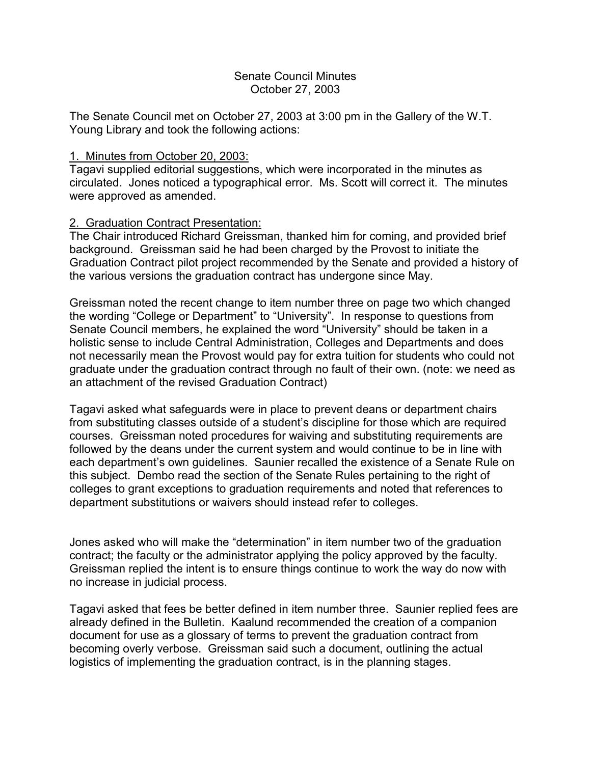### Senate Council Minutes October 27, 2003

The Senate Council met on October 27, 2003 at 3:00 pm in the Gallery of the W.T. Young Library and took the following actions:

### 1. Minutes from October 20, 2003:

Tagavi supplied editorial suggestions, which were incorporated in the minutes as circulated. Jones noticed a typographical error. Ms. Scott will correct it. The minutes were approved as amended.

## 2. Graduation Contract Presentation:

The Chair introduced Richard Greissman, thanked him for coming, and provided brief background. Greissman said he had been charged by the Provost to initiate the Graduation Contract pilot project recommended by the Senate and provided a history of the various versions the graduation contract has undergone since May.

Greissman noted the recent change to item number three on page two which changed the wording "College or Department" to "University". In response to questions from Senate Council members, he explained the word "University" should be taken in a holistic sense to include Central Administration, Colleges and Departments and does not necessarily mean the Provost would pay for extra tuition for students who could not graduate under the graduation contract through no fault of their own. (note: we need as an attachment of the revised Graduation Contract)

Tagavi asked what safeguards were in place to prevent deans or department chairs from substituting classes outside of a student's discipline for those which are required courses. Greissman noted procedures for waiving and substituting requirements are followed by the deans under the current system and would continue to be in line with each department's own guidelines. Saunier recalled the existence of a Senate Rule on this subject. Dembo read the section of the Senate Rules pertaining to the right of colleges to grant exceptions to graduation requirements and noted that references to department substitutions or waivers should instead refer to colleges.

Jones asked who will make the "determination" in item number two of the graduation contract; the faculty or the administrator applying the policy approved by the faculty. Greissman replied the intent is to ensure things continue to work the way do now with no increase in judicial process.

Tagavi asked that fees be better defined in item number three. Saunier replied fees are already defined in the Bulletin. Kaalund recommended the creation of a companion document for use as a glossary of terms to prevent the graduation contract from becoming overly verbose. Greissman said such a document, outlining the actual logistics of implementing the graduation contract, is in the planning stages.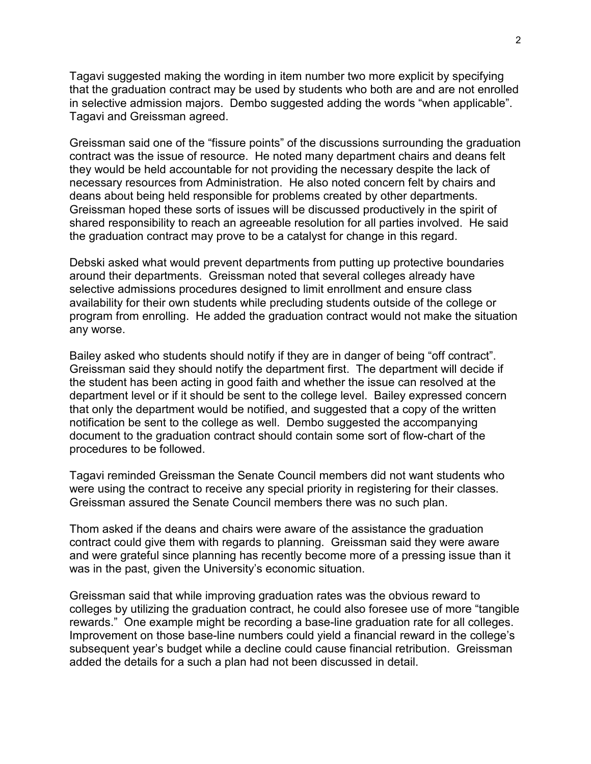Tagavi suggested making the wording in item number two more explicit by specifying that the graduation contract may be used by students who both are and are not enrolled in selective admission majors. Dembo suggested adding the words "when applicable". Tagavi and Greissman agreed.

Greissman said one of the "fissure points" of the discussions surrounding the graduation contract was the issue of resource. He noted many department chairs and deans felt they would be held accountable for not providing the necessary despite the lack of necessary resources from Administration. He also noted concern felt by chairs and deans about being held responsible for problems created by other departments. Greissman hoped these sorts of issues will be discussed productively in the spirit of shared responsibility to reach an agreeable resolution for all parties involved. He said the graduation contract may prove to be a catalyst for change in this regard.

Debski asked what would prevent departments from putting up protective boundaries around their departments. Greissman noted that several colleges already have selective admissions procedures designed to limit enrollment and ensure class availability for their own students while precluding students outside of the college or program from enrolling. He added the graduation contract would not make the situation any worse.

Bailey asked who students should notify if they are in danger of being "off contract". Greissman said they should notify the department first. The department will decide if the student has been acting in good faith and whether the issue can resolved at the department level or if it should be sent to the college level. Bailey expressed concern that only the department would be notified, and suggested that a copy of the written notification be sent to the college as well. Dembo suggested the accompanying document to the graduation contract should contain some sort of flow-chart of the procedures to be followed.

Tagavi reminded Greissman the Senate Council members did not want students who were using the contract to receive any special priority in registering for their classes. Greissman assured the Senate Council members there was no such plan.

Thom asked if the deans and chairs were aware of the assistance the graduation contract could give them with regards to planning. Greissman said they were aware and were grateful since planning has recently become more of a pressing issue than it was in the past, given the University's economic situation.

Greissman said that while improving graduation rates was the obvious reward to colleges by utilizing the graduation contract, he could also foresee use of more "tangible rewards." One example might be recording a base-line graduation rate for all colleges. Improvement on those base-line numbers could yield a financial reward in the college's subsequent year's budget while a decline could cause financial retribution. Greissman added the details for a such a plan had not been discussed in detail.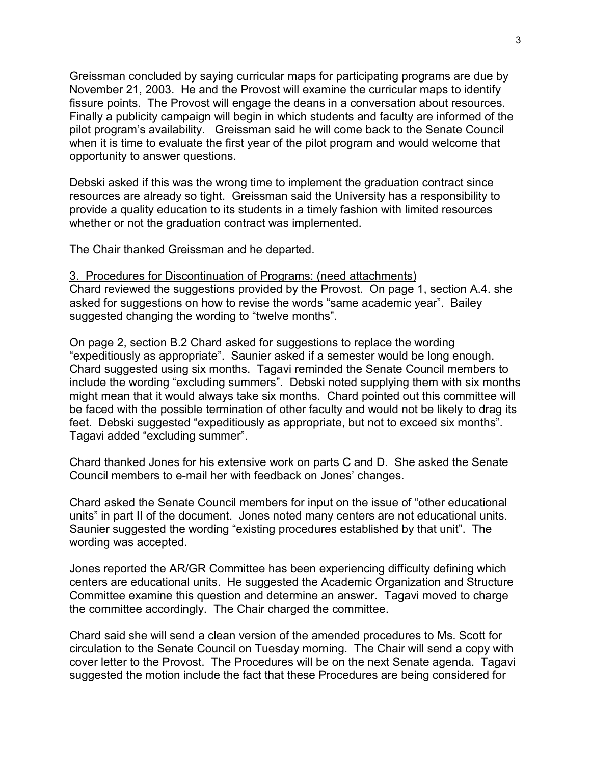Greissman concluded by saying curricular maps for participating programs are due by November 21, 2003. He and the Provost will examine the curricular maps to identify fissure points. The Provost will engage the deans in a conversation about resources. Finally a publicity campaign will begin in which students and faculty are informed of the pilot program's availability. Greissman said he will come back to the Senate Council when it is time to evaluate the first year of the pilot program and would welcome that opportunity to answer questions.

Debski asked if this was the wrong time to implement the graduation contract since resources are already so tight. Greissman said the University has a responsibility to provide a quality education to its students in a timely fashion with limited resources whether or not the graduation contract was implemented.

The Chair thanked Greissman and he departed.

#### 3. Procedures for Discontinuation of Programs: (need attachments)

Chard reviewed the suggestions provided by the Provost. On page 1, section A.4. she asked for suggestions on how to revise the words "same academic year". Bailey suggested changing the wording to "twelve months".

On page 2, section B.2 Chard asked for suggestions to replace the wording "expeditiously as appropriate". Saunier asked if a semester would be long enough. Chard suggested using six months. Tagavi reminded the Senate Council members to include the wording "excluding summers". Debski noted supplying them with six months might mean that it would always take six months. Chard pointed out this committee will be faced with the possible termination of other faculty and would not be likely to drag its feet. Debski suggested "expeditiously as appropriate, but not to exceed six months". Tagavi added "excluding summer".

Chard thanked Jones for his extensive work on parts C and D. She asked the Senate Council members to e-mail her with feedback on Jones' changes.

Chard asked the Senate Council members for input on the issue of "other educational units" in part II of the document. Jones noted many centers are not educational units. Saunier suggested the wording "existing procedures established by that unit". The wording was accepted.

Jones reported the AR/GR Committee has been experiencing difficulty defining which centers are educational units. He suggested the Academic Organization and Structure Committee examine this question and determine an answer. Tagavi moved to charge the committee accordingly. The Chair charged the committee.

Chard said she will send a clean version of the amended procedures to Ms. Scott for circulation to the Senate Council on Tuesday morning. The Chair will send a copy with cover letter to the Provost. The Procedures will be on the next Senate agenda. Tagavi suggested the motion include the fact that these Procedures are being considered for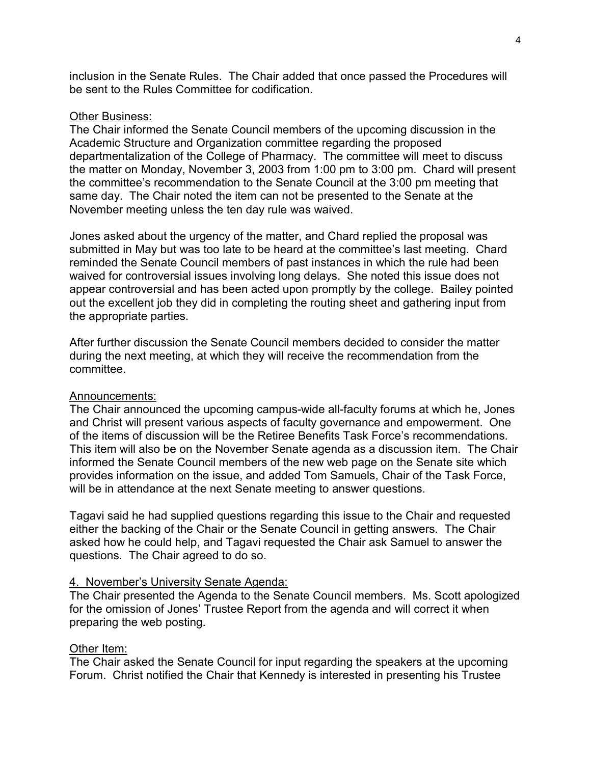inclusion in the Senate Rules. The Chair added that once passed the Procedures will be sent to the Rules Committee for codification.

### Other Business:

The Chair informed the Senate Council members of the upcoming discussion in the Academic Structure and Organization committee regarding the proposed departmentalization of the College of Pharmacy. The committee will meet to discuss the matter on Monday, November 3, 2003 from 1:00 pm to 3:00 pm. Chard will present the committee's recommendation to the Senate Council at the 3:00 pm meeting that same day. The Chair noted the item can not be presented to the Senate at the November meeting unless the ten day rule was waived.

Jones asked about the urgency of the matter, and Chard replied the proposal was submitted in May but was too late to be heard at the committee's last meeting. Chard reminded the Senate Council members of past instances in which the rule had been waived for controversial issues involving long delays. She noted this issue does not appear controversial and has been acted upon promptly by the college. Bailey pointed out the excellent job they did in completing the routing sheet and gathering input from the appropriate parties.

After further discussion the Senate Council members decided to consider the matter during the next meeting, at which they will receive the recommendation from the committee.

### Announcements:

The Chair announced the upcoming campus-wide all-faculty forums at which he, Jones and Christ will present various aspects of faculty governance and empowerment. One of the items of discussion will be the Retiree Benefits Task Force's recommendations. This item will also be on the November Senate agenda as a discussion item. The Chair informed the Senate Council members of the new web page on the Senate site which provides information on the issue, and added Tom Samuels, Chair of the Task Force, will be in attendance at the next Senate meeting to answer questions.

Tagavi said he had supplied questions regarding this issue to the Chair and requested either the backing of the Chair or the Senate Council in getting answers. The Chair asked how he could help, and Tagavi requested the Chair ask Samuel to answer the questions. The Chair agreed to do so.

### 4. November's University Senate Agenda:

The Chair presented the Agenda to the Senate Council members. Ms. Scott apologized for the omission of Jones' Trustee Report from the agenda and will correct it when preparing the web posting.

### Other Item:

The Chair asked the Senate Council for input regarding the speakers at the upcoming Forum. Christ notified the Chair that Kennedy is interested in presenting his Trustee